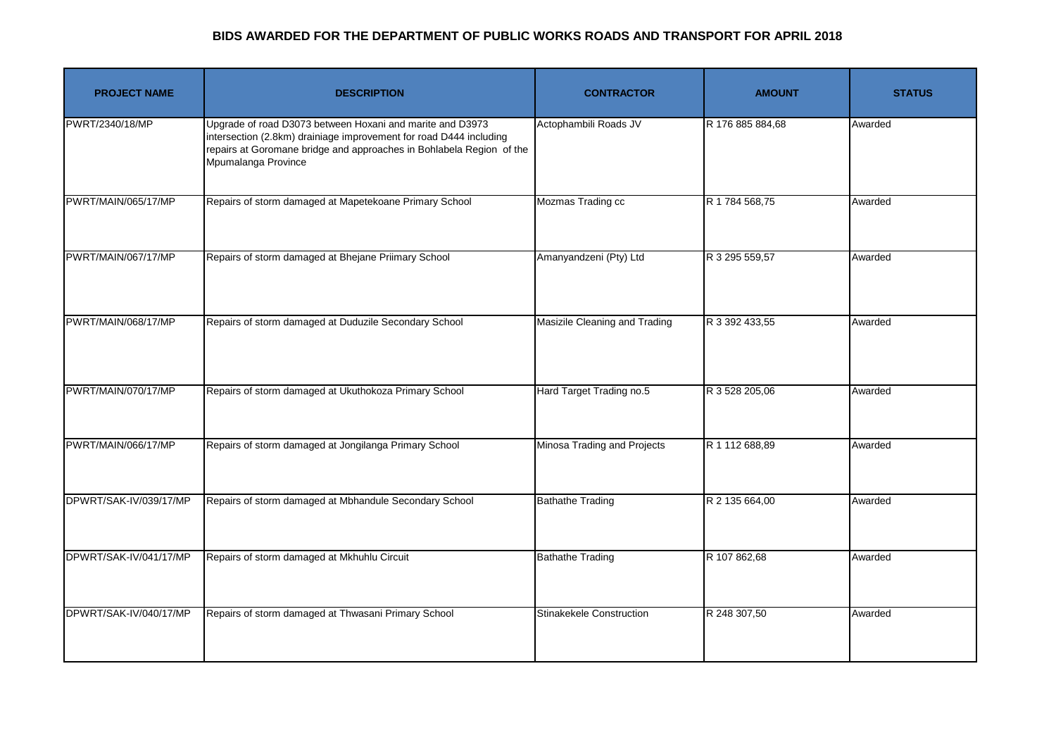## **BIDS AWARDED FOR THE DEPARTMENT OF PUBLIC WORKS ROADS AND TRANSPORT FOR APRIL 2018**

| <b>PROJECT NAME</b>    | <b>DESCRIPTION</b>                                                                                                                                                                                                             | <b>CONTRACTOR</b>             | <b>AMOUNT</b>    | <b>STATUS</b> |
|------------------------|--------------------------------------------------------------------------------------------------------------------------------------------------------------------------------------------------------------------------------|-------------------------------|------------------|---------------|
| PWRT/2340/18/MP        | Upgrade of road D3073 between Hoxani and marite and D3973<br>intersection (2.8km) drainiage improvement for road D444 including<br>repairs at Goromane bridge and approaches in Bohlabela Region of the<br>Mpumalanga Province | Actophambili Roads JV         | R 176 885 884,68 | Awarded       |
| PWRT/MAIN/065/17/MP    | Repairs of storm damaged at Mapetekoane Primary School                                                                                                                                                                         | Mozmas Trading cc             | R 1 784 568,75   | Awarded       |
| PWRT/MAIN/067/17/MP    | Repairs of storm damaged at Bhejane Priimary School                                                                                                                                                                            | Amanyandzeni (Pty) Ltd        | R 3 295 559,57   | Awarded       |
| PWRT/MAIN/068/17/MP    | Repairs of storm damaged at Duduzile Secondary School                                                                                                                                                                          | Masizile Cleaning and Trading | R 3 392 433,55   | Awarded       |
| PWRT/MAIN/070/17/MP    | Repairs of storm damaged at Ukuthokoza Primary School                                                                                                                                                                          | Hard Target Trading no.5      | R 3 528 205,06   | Awarded       |
| PWRT/MAIN/066/17/MP    | Repairs of storm damaged at Jongilanga Primary School                                                                                                                                                                          | Minosa Trading and Projects   | R 1 112 688,89   | Awarded       |
| DPWRT/SAK-IV/039/17/MP | Repairs of storm damaged at Mbhandule Secondary School                                                                                                                                                                         | <b>Bathathe Trading</b>       | R 2 135 664,00   | Awarded       |
| DPWRT/SAK-IV/041/17/MP | Repairs of storm damaged at Mkhuhlu Circuit                                                                                                                                                                                    | <b>Bathathe Trading</b>       | R 107 862,68     | Awarded       |
| DPWRT/SAK-IV/040/17/MP | Repairs of storm damaged at Thwasani Primary School                                                                                                                                                                            | Stinakekele Construction      | R 248 307,50     | Awarded       |